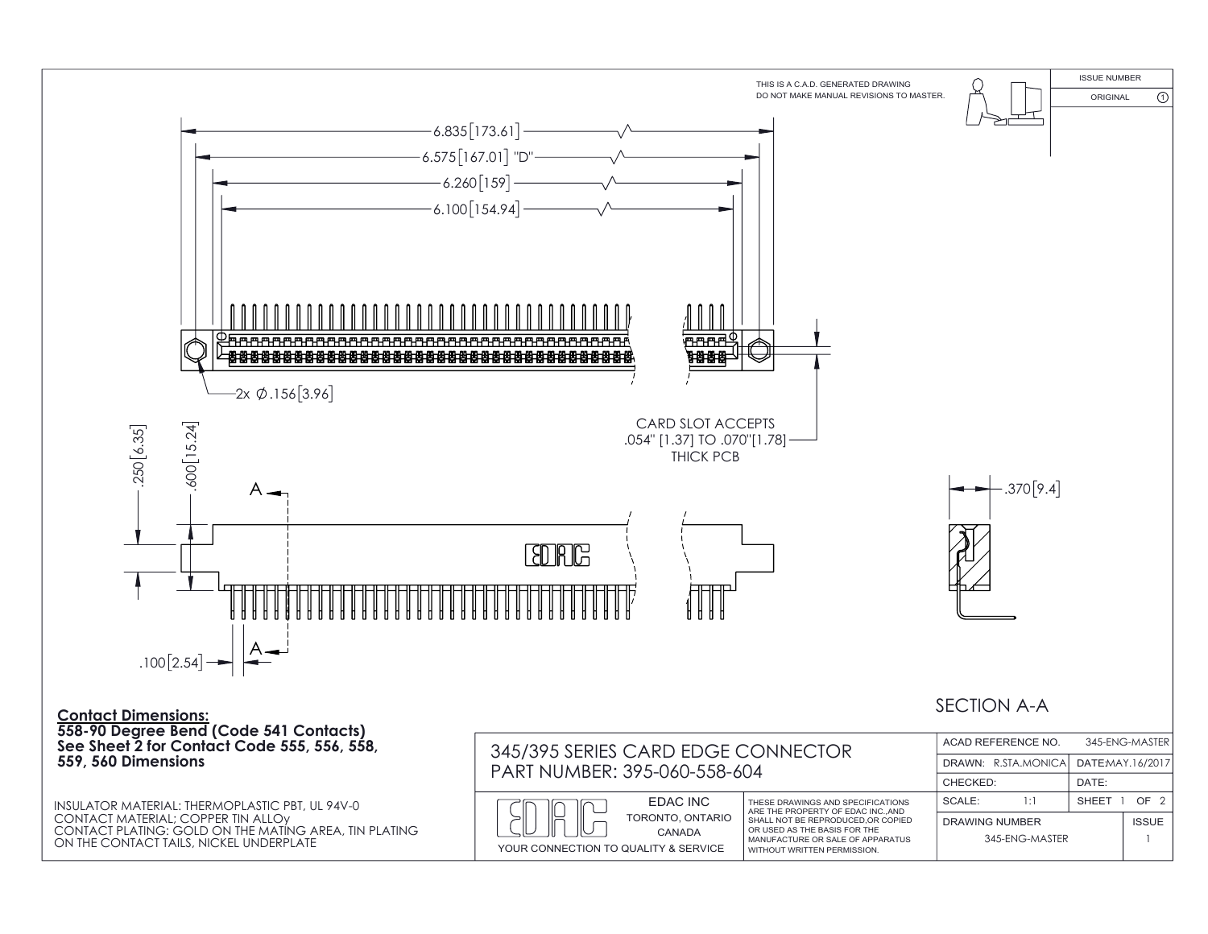